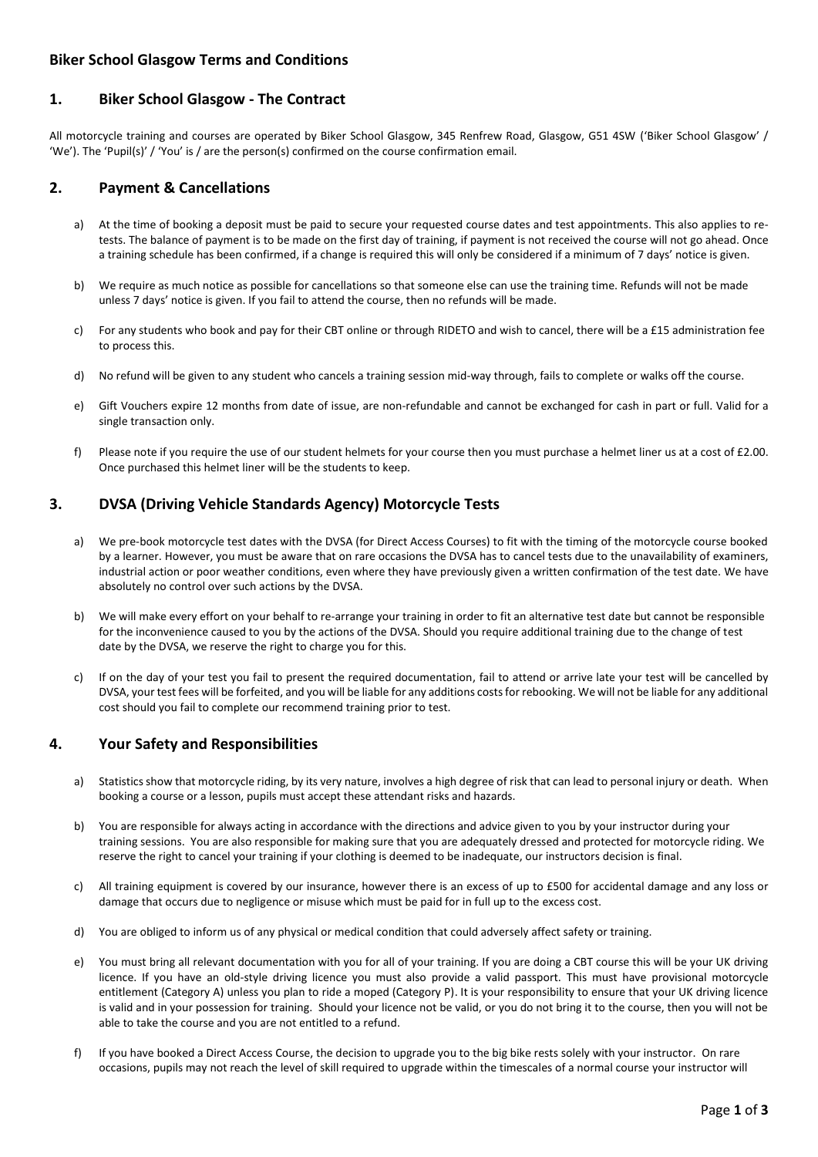### **Biker School Glasgow Terms and Conditions**

### **1. Biker School Glasgow - The Contract**

All motorcycle training and courses are operated by Biker School Glasgow, 345 Renfrew Road, Glasgow, G51 4SW ('Biker School Glasgow' / 'We'). The 'Pupil(s)' / 'You' is / are the person(s) confirmed on the course confirmation email.

# **2. Payment & Cancellations**

- a) At the time of booking a deposit must be paid to secure your requested course dates and test appointments. This also applies to retests. The balance of payment is to be made on the first day of training, if payment is not received the course will not go ahead. Once a training schedule has been confirmed, if a change is required this will only be considered if a minimum of 7 days' notice is given.
- b) We require as much notice as possible for cancellations so that someone else can use the training time. Refunds will not be made unless 7 days' notice is given. If you fail to attend the course, then no refunds will be made.
- c) For any students who book and pay for their CBT online or through RIDETO and wish to cancel, there will be a £15 administration fee to process this.
- d) No refund will be given to any student who cancels a training session mid-way through, fails to complete or walks off the course.
- e) Gift Vouchers expire 12 months from date of issue, are non-refundable and cannot be exchanged for cash in part or full. Valid for a single transaction only.
- f) Please note if you require the use of our student helmets for your course then you must purchase a helmet liner us at a cost of £2.00. Once purchased this helmet liner will be the students to keep.

# **3. DVSA (Driving Vehicle Standards Agency) Motorcycle Tests**

- a) We pre-book motorcycle test dates with the DVSA (for Direct Access Courses) to fit with the timing of the motorcycle course booked by a learner. However, you must be aware that on rare occasions the DVSA has to cancel tests due to the unavailability of examiners, industrial action or poor weather conditions, even where they have previously given a written confirmation of the test date. We have absolutely no control over such actions by the DVSA.
- b) We will make every effort on your behalf to re-arrange your training in order to fit an alternative test date but cannot be responsible for the inconvenience caused to you by the actions of the DVSA. Should you require additional training due to the change of test date by the DVSA, we reserve the right to charge you for this.
- c) If on the day of your test you fail to present the required documentation, fail to attend or arrive late your test will be cancelled by DVSA, your test fees will be forfeited, and you will be liable for any additions costs for rebooking. We will not be liable for any additional cost should you fail to complete our recommend training prior to test.

# **4. Your Safety and Responsibilities**

- a) Statistics show that motorcycle riding, by its very nature, involves a high degree of risk that can lead to personal injury or death. When booking a course or a lesson, pupils must accept these attendant risks and hazards.
- b) You are responsible for always acting in accordance with the directions and advice given to you by your instructor during your training sessions. You are also responsible for making sure that you are adequately dressed and protected for motorcycle riding. We reserve the right to cancel your training if your clothing is deemed to be inadequate, our instructors decision is final.
- c) All training equipment is covered by our insurance, however there is an excess of up to £500 for accidental damage and any loss or damage that occurs due to negligence or misuse which must be paid for in full up to the excess cost.
- d) You are obliged to inform us of any physical or medical condition that could adversely affect safety or training.
- e) You must bring all relevant documentation with you for all of your training. If you are doing a CBT course this will be your UK driving licence. If you have an old-style driving licence you must also provide a valid passport. This must have provisional motorcycle entitlement (Category A) unless you plan to ride a moped (Category P). It is your responsibility to ensure that your UK driving licence is valid and in your possession for training. Should your licence not be valid, or you do not bring it to the course, then you will not be able to take the course and you are not entitled to a refund.
- f) If you have booked a Direct Access Course, the decision to upgrade you to the big bike rests solely with your instructor. On rare occasions, pupils may not reach the level of skill required to upgrade within the timescales of a normal course your instructor will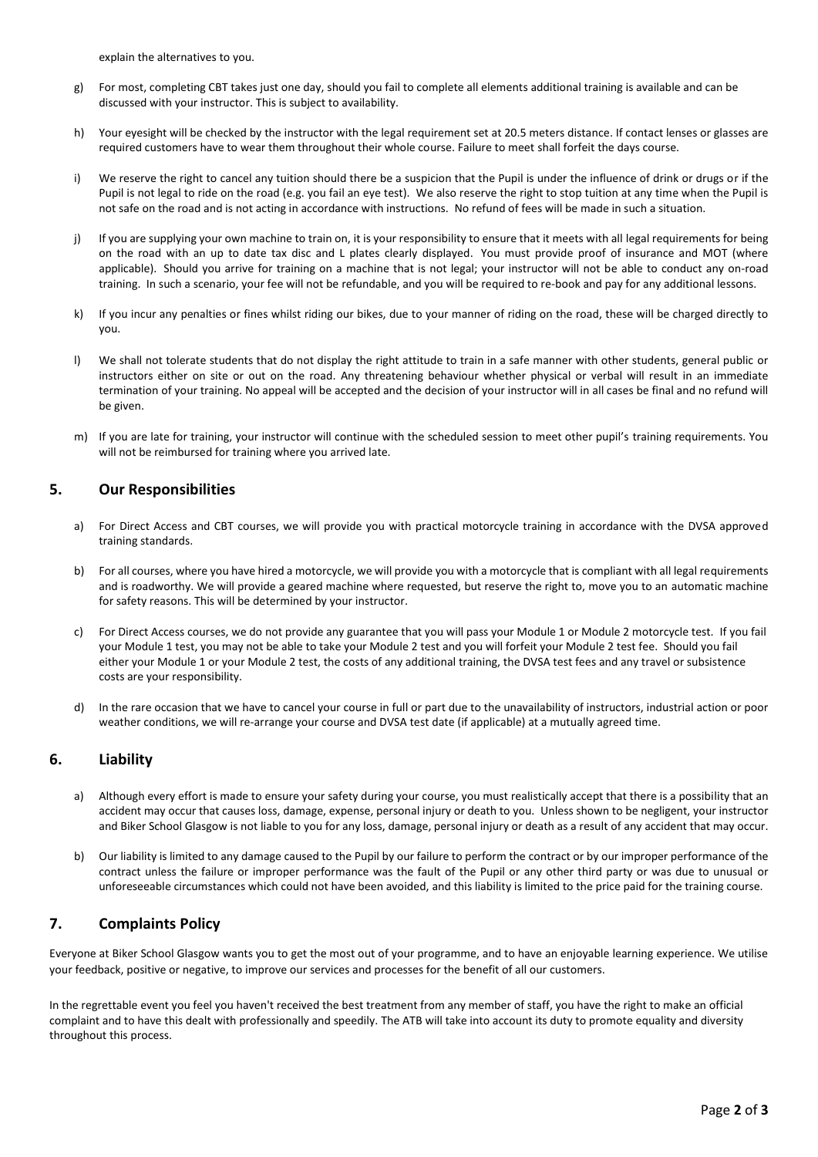explain the alternatives to you.

- g) For most, completing CBT takes just one day, should you fail to complete all elements additional training is available and can be discussed with your instructor. This is subject to availability.
- h) Your eyesight will be checked by the instructor with the legal requirement set at 20.5 meters distance. If contact lenses or glasses are required customers have to wear them throughout their whole course. Failure to meet shall forfeit the days course.
- i) We reserve the right to cancel any tuition should there be a suspicion that the Pupil is under the influence of drink or drugs or if the Pupil is not legal to ride on the road (e.g. you fail an eye test). We also reserve the right to stop tuition at any time when the Pupil is not safe on the road and is not acting in accordance with instructions. No refund of fees will be made in such a situation.
- j) If you are supplying your own machine to train on, it is your responsibility to ensure that it meets with all legal requirements for being on the road with an up to date tax disc and L plates clearly displayed. You must provide proof of insurance and MOT (where applicable). Should you arrive for training on a machine that is not legal; your instructor will not be able to conduct any on-road training. In such a scenario, your fee will not be refundable, and you will be required to re-book and pay for any additional lessons.
- k) If you incur any penalties or fines whilst riding our bikes, due to your manner of riding on the road, these will be charged directly to you.
- l) We shall not tolerate students that do not display the right attitude to train in a safe manner with other students, general public or instructors either on site or out on the road. Any threatening behaviour whether physical or verbal will result in an immediate termination of your training. No appeal will be accepted and the decision of your instructor will in all cases be final and no refund will be given.
- m) If you are late for training, your instructor will continue with the scheduled session to meet other pupil's training requirements. You will not be reimbursed for training where you arrived late.

### **5. Our Responsibilities**

- a) For Direct Access and CBT courses, we will provide you with practical motorcycle training in accordance with the DVSA approved training standards.
- b) For all courses, where you have hired a motorcycle, we will provide you with a motorcycle that is compliant with all legal requirements and is roadworthy. We will provide a geared machine where requested, but reserve the right to, move you to an automatic machine for safety reasons. This will be determined by your instructor.
- c) For Direct Access courses, we do not provide any guarantee that you will pass your Module 1 or Module 2 motorcycle test. If you fail your Module 1 test, you may not be able to take your Module 2 test and you will forfeit your Module 2 test fee. Should you fail either your Module 1 or your Module 2 test, the costs of any additional training, the DVSA test fees and any travel or subsistence costs are your responsibility.
- d) In the rare occasion that we have to cancel your course in full or part due to the unavailability of instructors, industrial action or poor weather conditions, we will re-arrange your course and DVSA test date (if applicable) at a mutually agreed time.

### **6. Liability**

- a) Although every effort is made to ensure your safety during your course, you must realistically accept that there is a possibility that an accident may occur that causes loss, damage, expense, personal injury or death to you. Unless shown to be negligent, your instructor and Biker School Glasgow is not liable to you for any loss, damage, personal injury or death as a result of any accident that may occur.
- b) Our liability is limited to any damage caused to the Pupil by our failure to perform the contract or by our improper performance of the contract unless the failure or improper performance was the fault of the Pupil or any other third party or was due to unusual or unforeseeable circumstances which could not have been avoided, and this liability is limited to the price paid for the training course.

# **7. Complaints Policy**

Everyone at Biker School Glasgow wants you to get the most out of your programme, and to have an enjoyable learning experience. We utilise your feedback, positive or negative, to improve our services and processes for the benefit of all our customers.

In the regrettable event you feel you haven't received the best treatment from any member of staff, you have the right to make an official complaint and to have this dealt with professionally and speedily. The ATB will take into account its duty to promote equality and diversity throughout this process.